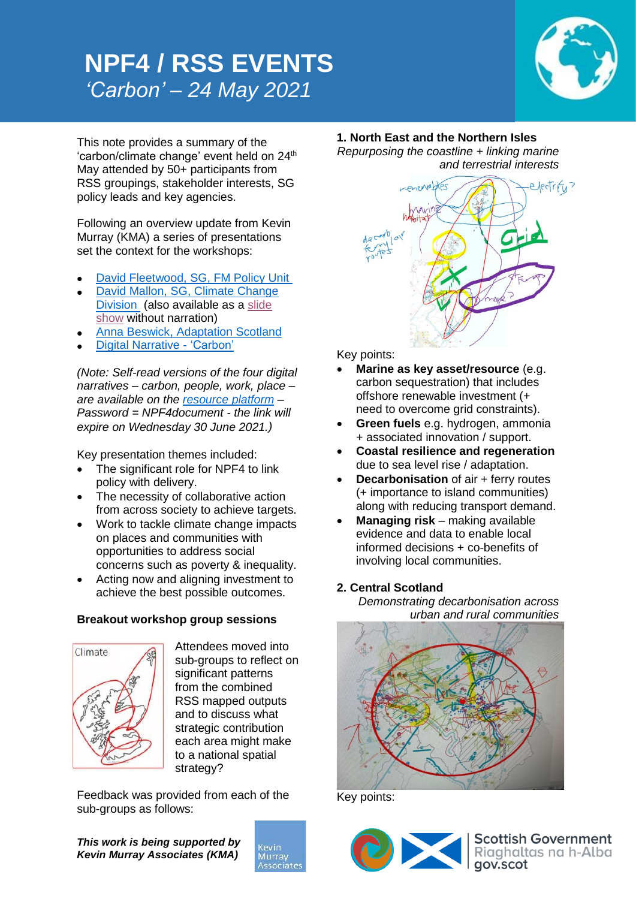## **NPF4 / RSS EVENTS** *'Carbon' – 24 May 2021*



This note provides a summary of the 'carbon/climate change' event held on 24<sup>th</sup> May attended by 50+ participants from RSS groupings, stakeholder interests, SG policy leads and key agencies.

Following an overview update from Kevin Murray (KMA) a series of presentations set the context for the workshops:

- [David Fleetwood, SG, FM Policy Unit](https://kmaglasgow-my.sharepoint.com/:v:/g/personal/rim_kevinmurrayassociates_com/EdA9ErDVr-xPg8wgmAxwWqoBRPrx2dCmFYyTd3R-V7vCeQ?e=Gn4hLZ)
- David Mallon, [SG, Climate Change](https://kmaglasgow-my.sharepoint.com/:v:/g/personal/rim_kevinmurrayassociates_com/EeKpG7AXSp9Bqj_Z0R9OcrcBTyi3u9WEHXb1EpQ9vQSBxA?e=2HE5RD)  [Division](https://kmaglasgow-my.sharepoint.com/:v:/g/personal/rim_kevinmurrayassociates_com/EeKpG7AXSp9Bqj_Z0R9OcrcBTyi3u9WEHXb1EpQ9vQSBxA?e=2HE5RD) (also available as a [slide](https://kmaglasgow-my.sharepoint.com/:p:/g/personal/rim_kevinmurrayassociates_com/EQo2Uwnqk_FMm2PQ3S0LJWMB8Jx7ET6Ti13fiPHFJHdY1g?e=tpayIc)  [show](https://kmaglasgow-my.sharepoint.com/:p:/g/personal/rim_kevinmurrayassociates_com/EQo2Uwnqk_FMm2PQ3S0LJWMB8Jx7ET6Ti13fiPHFJHdY1g?e=tpayIc) without narration)
- [Anna Beswick, Adaptation Scotland](https://kmaglasgow-my.sharepoint.com/:v:/g/personal/rim_kevinmurrayassociates_com/EcZlIp_UwhRHgZrpqLJj-rQBL1vhzcb6TIU3PVS9cx-1sA?e=AzDnWf)
- [Digital Narrative -](https://kmaglasgow-my.sharepoint.com/:v:/g/personal/rim_kevinmurrayassociates_com/EQQcRo9cTJdBmALGsCLMNs4B8MActQ4CgDvSxn88ZETyYw?e=igwaFc) 'Carbon'

*(Note: Self-read versions of the four digital narratives – carbon, people, work, place – are available on the [resource platform](https://kmaglasgow-my.sharepoint.com/:f:/g/personal/rim_kevinmurrayassociates_com/EnGzOhVJDiBJmBobeSPPF60BGJTBLZyqYGbKc3ILQFgUbw?e=hEWVmO) – Password = NPF4document - the link will expire on Wednesday 30 June 2021.)*

Key presentation themes included:

- The significant role for NPF4 to link policy with delivery.
- The necessity of collaborative action from across society to achieve targets.
- Work to tackle climate change impacts on places and communities with opportunities to address social concerns such as poverty & inequality.
- Acting now and aligning investment to achieve the best possible outcomes.

### **Breakout workshop group sessions**



Attendees moved into sub-groups to reflect on significant patterns from the combined RSS mapped outputs and to discuss what strategic contribution each area might make to a national spatial strategy?

Feedback was provided from each of the sub-groups as follows:

*This work is being supported by Kevin Murray Associates (KMA)*



**1. North East and the Northern Isles** *Repurposing the coastline + linking marine* 

*and terrestrial interests* 



Key points:

- **Marine as key asset/resource** (e.g. carbon sequestration) that includes offshore renewable investment (+ need to overcome grid constraints).
- **Green fuels** e.g. hydrogen, ammonia + associated innovation / support.
- **Coastal resilience and regeneration** due to sea level rise / adaptation.
- **Decarbonisation** of air + ferry routes (+ importance to island communities) along with reducing transport demand.
- **Managing risk** making available evidence and data to enable local informed decisions + co-benefits of involving local communities.

### **2. Central Scotland**

*Demonstrating decarbonisation across urban and rural communities*



Key points: